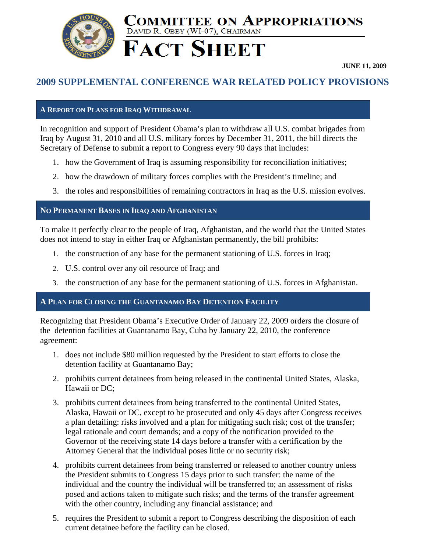

# DAVID R. OBEY (WI-07), CHAIRMAN **FACT SHEET**

**JUNE 11, 2009** 

## **2009 SUPPLEMENTAL CONFERENCE WAR RELATED POLICY PROVISIONS**

COMMITTEE ON APPROPRIATIONS

### **A REPORT ON PLANS FOR IRAQ WITHDRAWAL**

In recognition and support of President Obama's plan to withdraw all U.S. combat brigades from Iraq by August 31, 2010 and all U.S. military forces by December 31, 2011, the bill directs the Secretary of Defense to submit a report to Congress every 90 days that includes:

- 1. how the Government of Iraq is assuming responsibility for reconciliation initiatives;
- 2. how the drawdown of military forces complies with the President's timeline; and
- 3. the roles and responsibilities of remaining contractors in Iraq as the U.S. mission evolves.

### **NO PERMANENT BASES IN IRAQ AND AFGHANISTAN**

To make it perfectly clear to the people of Iraq, Afghanistan, and the world that the United States does not intend to stay in either Iraq or Afghanistan permanently, the bill prohibits:

- 1. the construction of any base for the permanent stationing of U.S. forces in Iraq;
- 2. U.S. control over any oil resource of Iraq; and
- 3. the construction of any base for the permanent stationing of U.S. forces in Afghanistan.

### **A PLAN FOR CLOSING THE GUANTANAMO BAY DETENTION FACILITY**

Recognizing that President Obama's Executive Order of January 22, 2009 orders the closure of the detention facilities at Guantanamo Bay, Cuba by January 22, 2010, the conference agreement:

- 1. does not include \$80 million requested by the President to start efforts to close the detention facility at Guantanamo Bay;
- 2. prohibits current detainees from being released in the continental United States, Alaska, Hawaii or DC;
- 3. prohibits current detainees from being transferred to the continental United States, Alaska, Hawaii or DC, except to be prosecuted and only 45 days after Congress receives a plan detailing: risks involved and a plan for mitigating such risk; cost of the transfer; legal rationale and court demands; and a copy of the notification provided to the Governor of the receiving state 14 days before a transfer with a certification by the Attorney General that the individual poses little or no security risk;
- 4. prohibits current detainees from being transferred or released to another country unless the President submits to Congress 15 days prior to such transfer: the name of the individual and the country the individual will be transferred to; an assessment of risks posed and actions taken to mitigate such risks; and the terms of the transfer agreement with the other country, including any financial assistance; and
- 5. requires the President to submit a report to Congress describing the disposition of each current detainee before the facility can be closed.